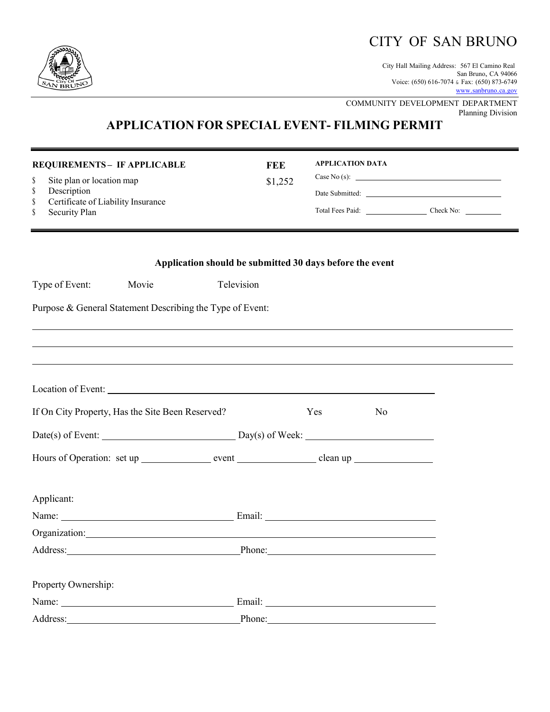## CITY OF SAN BRUNO

City Hall Mailing Address: 567 El Camino Real San Bruno, CA 94066 Voice: (650) 616-7074 & Fax: (650) 873-6749 [www.sanbruno.ca.gov](http://www.sanbruno.ca.gov/)

COMMUNITY DEVELOPMENT DEPARTMENT Planning Division

## **APPLICATION FOR SPECIAL EVENT- FILMING PERMIT**

| S<br>\$<br>\$<br>\$ | <b>REQUIREMENTS- IF APPLICABLE</b><br>Site plan or location map<br>Description<br>Certificate of Liability Insurance<br>Security Plan                                                                                          | <b>FEE</b><br>\$1,252                                    | <b>APPLICATION DATA</b> |                | Case No (s): $\qquad \qquad$ |
|---------------------|--------------------------------------------------------------------------------------------------------------------------------------------------------------------------------------------------------------------------------|----------------------------------------------------------|-------------------------|----------------|------------------------------|
|                     |                                                                                                                                                                                                                                | Application should be submitted 30 days before the event |                         |                |                              |
|                     | Movie<br>Type of Event:                                                                                                                                                                                                        | Television                                               |                         |                |                              |
|                     | Purpose & General Statement Describing the Type of Event:                                                                                                                                                                      |                                                          |                         |                |                              |
|                     | Location of Event:                                                                                                                                                                                                             |                                                          |                         |                |                              |
|                     | If On City Property, Has the Site Been Reserved?                                                                                                                                                                               |                                                          | Yes                     | N <sub>0</sub> |                              |
|                     |                                                                                                                                                                                                                                |                                                          |                         |                |                              |
|                     | Hours of Operation: set up _________________ event _____________________ clean up __________________                                                                                                                           |                                                          |                         |                |                              |
|                     | Applicant:                                                                                                                                                                                                                     |                                                          |                         |                |                              |
|                     |                                                                                                                                                                                                                                |                                                          |                         |                |                              |
|                     |                                                                                                                                                                                                                                |                                                          |                         |                |                              |
|                     | Address: Phone: Phone: Phone: Phone: Phone: Phone: Phone: Phone: Phone: Phone: Phone: Phone: Phone: Phone: Phone: Phone: Phone: Phone: Phone: Phone: Phone: Phone: Phone: Phone: Phone: Phone: Phone: Phone: Phone: Phone: Pho |                                                          |                         |                |                              |
|                     | Property Ownership:                                                                                                                                                                                                            |                                                          |                         |                |                              |
|                     |                                                                                                                                                                                                                                |                                                          |                         |                |                              |
|                     | Address: No. 1998                                                                                                                                                                                                              | Phone:                                                   |                         |                |                              |